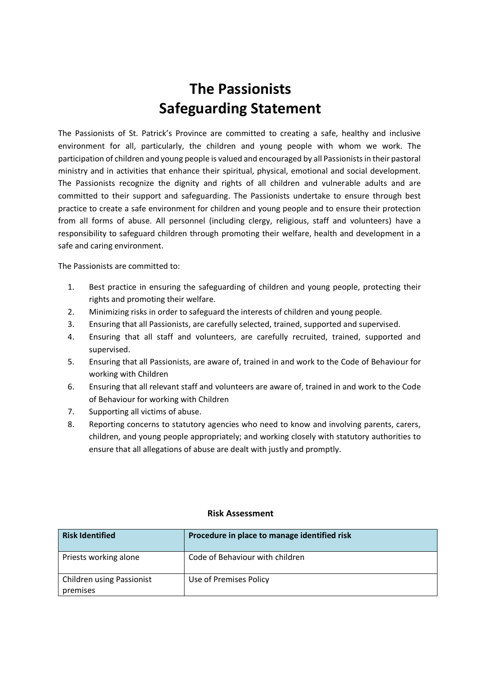## **The Passionists Safeguarding Statement**

The Passionists of St. Patrick's Province are committed to creating a safe, healthy and inclusive environment for all, particularly, the children and young people with whom we work. The participation of children and young people is valued and encouraged by all Passionists in their pastoral ministry and in activities that enhance their spiritual, physical, emotional and social development. The Passionists recognize the dignity and rights of all children and vulnerable adults and are committed to their support and safeguarding. The Passionists undertake to ensure through best practice to create a safe environment for children and young people and to ensure their protection from all forms of abuse. All personnel (including clergy, religious, staff and volunteers) have a responsibility to safeguard children through promoting their welfare, health and development in a safe and caring environment.

The Passionists are committed to:

- 1. Best practice in ensuring the safeguarding of children and young people, protecting their rights and promoting their welfare.
- 2. Minimizing risks in order to safeguard the interests of children and young people.
- 3. Ensuring that all Passionists, are carefully selected, trained, supported and supervised.
- 4. Ensuring that all staff and volunteers, are carefully recruited, trained, supported and supervised.
- 5. Ensuring that all Passionists, are aware of, trained in and work to the Code of Behaviour for working with Children
- 6. Ensuring that all relevant staff and volunteers are aware of, trained in and work to the Code of Behaviour for working with Children
- 7. Supporting all victims of abuse.
- 8. Reporting concerns to statutory agencies who need to know and involving parents, carers, children, and young people appropriately; and working closely with statutory authorities to ensure that all allegations of abuse are dealt with justly and promptly.

## **Risk Assessment**

| <b>Risk Identified</b>                       | Procedure in place to manage identified risk |
|----------------------------------------------|----------------------------------------------|
| Priests working alone                        | Code of Behaviour with children              |
| <b>Children using Passionist</b><br>premises | Use of Premises Policy                       |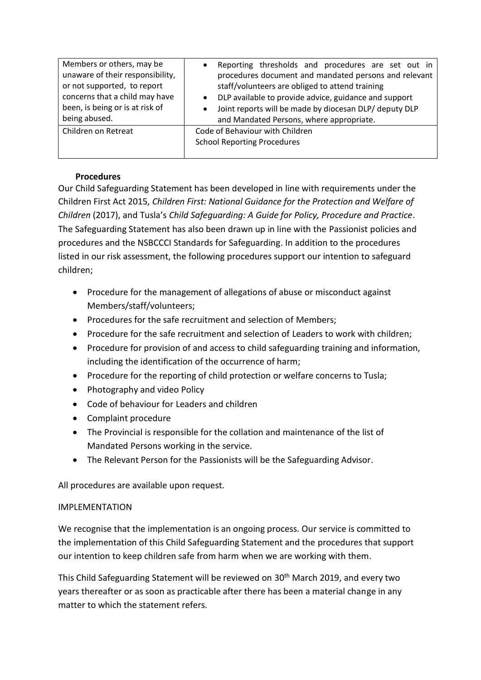| Members or others, may be<br>unaware of their responsibility,<br>or not supported, to report<br>concerns that a child may have<br>been, is being or is at risk of<br>being abused. | Reporting thresholds and procedures are set out in<br>procedures document and mandated persons and relevant<br>staff/volunteers are obliged to attend training<br>DLP available to provide advice, guidance and support<br>$\bullet$<br>Joint reports will be made by diocesan DLP/ deputy DLP<br>$\bullet$<br>and Mandated Persons, where appropriate. |
|------------------------------------------------------------------------------------------------------------------------------------------------------------------------------------|---------------------------------------------------------------------------------------------------------------------------------------------------------------------------------------------------------------------------------------------------------------------------------------------------------------------------------------------------------|
| Children on Retreat                                                                                                                                                                | Code of Behaviour with Children<br><b>School Reporting Procedures</b>                                                                                                                                                                                                                                                                                   |

## **Procedures**

Our Child Safeguarding Statement has been developed in line with requirements under the Children First Act 2015, *Children First: National Guidance for the Protection and Welfare of Children* (2017), and Tusla's *Child Safeguarding: A Guide for Policy, Procedure and Practice*. The Safeguarding Statement has also been drawn up in line with the Passionist policies and procedures and the NSBCCCI Standards for Safeguarding. In addition to the procedures listed in our risk assessment, the following procedures support our intention to safeguard children;

- Procedure for the management of allegations of abuse or misconduct against Members/staff/volunteers;
- Procedures for the safe recruitment and selection of Members;
- Procedure for the safe recruitment and selection of Leaders to work with children;
- Procedure for provision of and access to child safeguarding training and information, including the identification of the occurrence of harm;
- Procedure for the reporting of child protection or welfare concerns to Tusla;
- Photography and video Policy
- Code of behaviour for Leaders and children
- Complaint procedure
- The Provincial is responsible for the collation and maintenance of the list of Mandated Persons working in the service.
- The Relevant Person for the Passionists will be the Safeguarding Advisor.

All procedures are available upon request.

## IMPLEMENTATION

We recognise that the implementation is an ongoing process. Our service is committed to the implementation of this Child Safeguarding Statement and the procedures that support our intention to keep children safe from harm when we are working with them.

This Child Safeguarding Statement will be reviewed on 30<sup>th</sup> March 2019, and every two years thereafter or as soon as practicable after there has been a material change in any matter to which the statement refers.